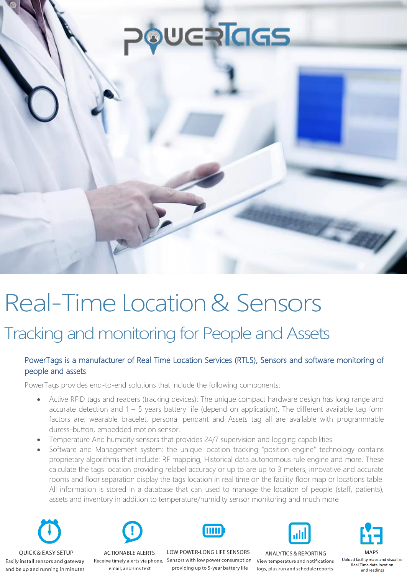# **WERIAS**

# Real-Time Location& Sensors

## Tracking and monitoring for People and Assets

### PowerTags is a manufacturer of Real Time Location Services (RTLS), Sensors and software monitoring of people and assets

PowerTags provides end-to-end solutions that include the following components:

- Active RFID tags and readers (tracking devices): The unique compact hardware design has long range and accurate detection and 1 – 5 years battery life (depend on application). The different available tag form factors are: wearable bracelet, personal pendant and Assets tag all are available with programmable duress-button, embedded motion sensor.
- Temperature And humidity sensors that provides 24/7 supervision and logging capabilities
- Software and Management system: the unique location tracking "position engine" technology contains proprietary algorithms that include: RF mapping, Historical data autonomous rule engine and more. These calculate the tags location providing relabel accuracy or up to are up to 3 meters, innovative and accurate rooms and floor separation display the tags location in real time on the facility floor map or locations table. All information is stored in a database that can used to manage the location of people (staff, patients), assets and inventory in addition to temperature/humidity sensor monitoring and much more





**ACTIONABLE ALERTS** 



LOW POWER-LONG LIFE SENSORS Easily install sensors and gateway Receive timely alerts via phone, Sensors with low power consumption View temperature and notifications <sup>Upload facility maps and visualize</sup><br>and be up and running in minutes email, and sms



**ANALYTICS & REPORTING** 

**MAPS** and readings